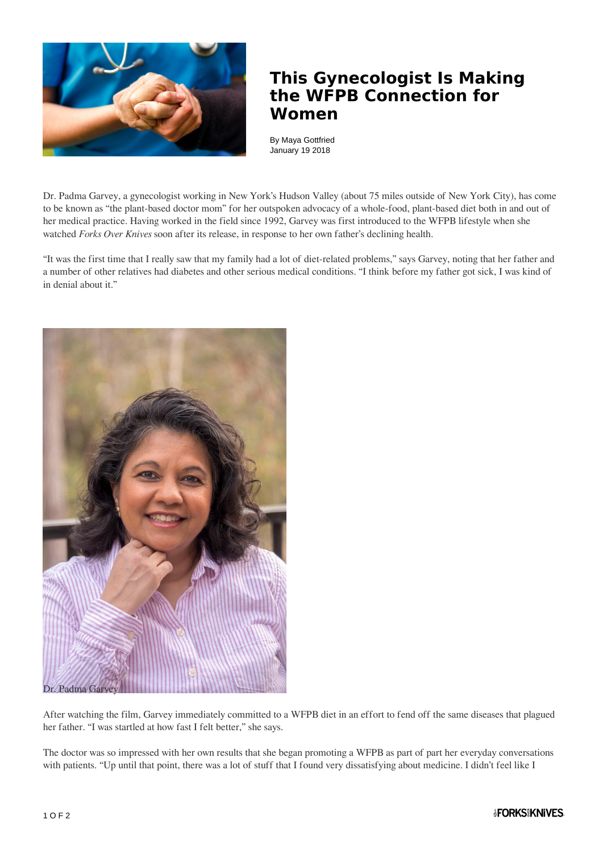

## **This Gynecologist Is Making the WFPB Connection for Women**

By Maya Gottfried January 19 2018

Dr. Padma Garvey, a gynecologist working in New York's Hudson Valley (about 75 miles outside of New York City), has come to be known as "the plant-based doctor mom" for her outspoken advocacy of a whole-food, plant-based diet both in and out of her medical practice. Having worked in the field since 1992, Garvey was first introduced to the WFPB lifestyle when she watched *Forks Over Knives* soon after its release, in response to her own father's declining health.

"It was the first time that I really saw that my family had a lot of diet-related problems," says Garvey, noting that her father and a number of other relatives had diabetes and other serious medical conditions. "I think before my father got sick, I was kind of in denial about it."



After watching the film, Garvey immediately committed to a WFPB diet in an effort to fend off the same diseases that plagued her father. "I was startled at how fast I felt better," she says.

The doctor was so impressed with her own results that she began promoting a WFPB as part of part her everyday conversations with patients. "Up until that point, there was a lot of stuff that I found very dissatisfying about medicine. I didn't feel like I